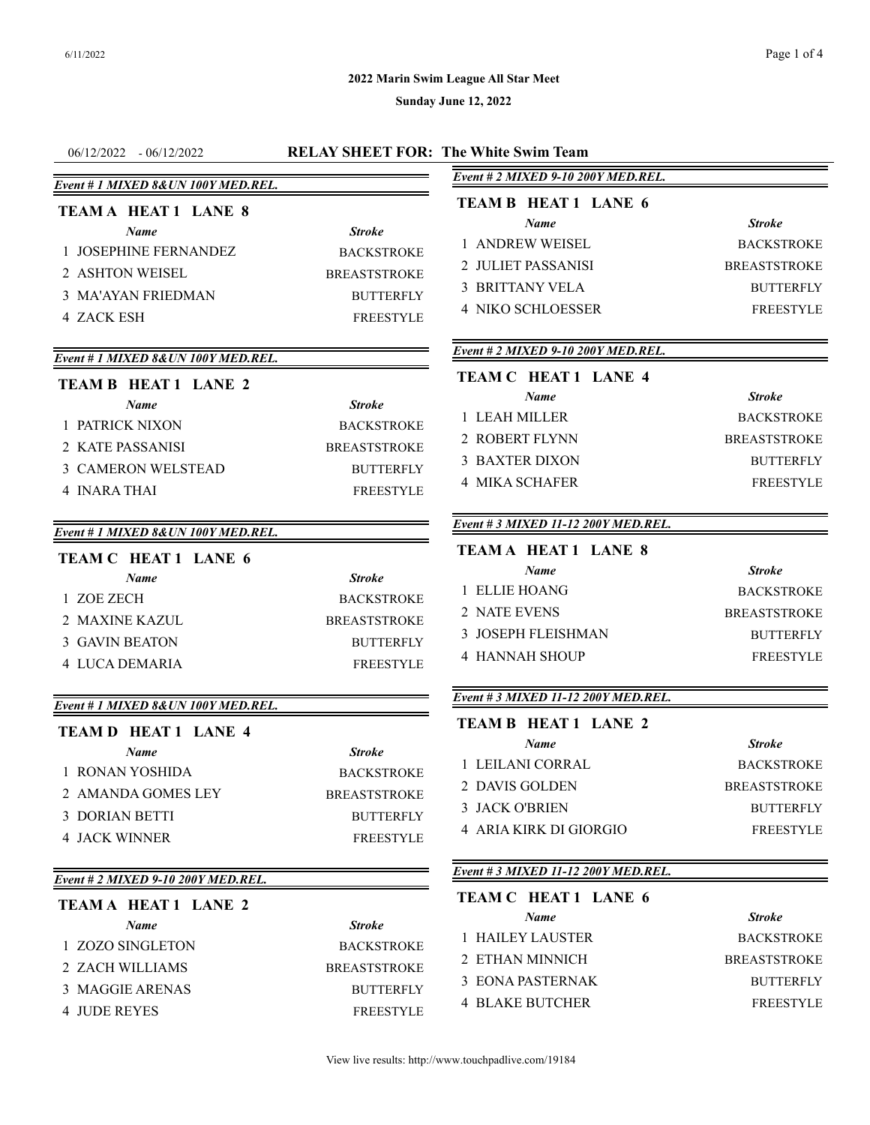## **2022 Marin Swim League All Star Meet**

| $06/12/2022 - 06/12/2022$           |                     | <b>RELAY SHEET FOR: The White Swim Team</b> |                     |
|-------------------------------------|---------------------|---------------------------------------------|---------------------|
| Event # 1 MIXED 8& UN 100Y MED.REL. |                     | Event # 2 MIXED 9-10 200Y MED.REL.          |                     |
| <b>TEAMA HEAT 1 LANE 8</b>          |                     | <b>TEAM B HEAT 1 LANE 6</b>                 |                     |
| <b>Name</b>                         | <b>Stroke</b>       | Name                                        | <b>Stroke</b>       |
| 1 JOSEPHINE FERNANDEZ               | <b>BACKSTROKE</b>   | 1 ANDREW WEISEL                             | <b>BACKSTROKE</b>   |
| 2 ASHTON WEISEL                     | <b>BREASTSTROKE</b> | 2 JULIET PASSANISI                          | <b>BREASTSTROKE</b> |
| <b>3 MA'AYAN FRIEDMAN</b>           | <b>BUTTERFLY</b>    | 3 BRITTANY VELA                             | <b>BUTTERFLY</b>    |
|                                     | <b>FREESTYLE</b>    | <b>4 NIKO SCHLOESSER</b>                    | <b>FREESTYLE</b>    |
| <b>4 ZACK ESH</b>                   |                     |                                             |                     |
| Event # 1 MIXED 8& UN 100Y MED.REL. |                     | Event # 2 MIXED 9-10 200Y MED.REL.          |                     |
| <b>TEAM B HEAT 1 LANE 2</b>         |                     | <b>TEAM C HEAT 1 LANE 4</b>                 |                     |
| Name                                | <b>Stroke</b>       | Name                                        | <b>Stroke</b>       |
| 1 PATRICK NIXON                     | <b>BACKSTROKE</b>   | 1 LEAH MILLER                               | <b>BACKSTROKE</b>   |
| 2 KATE PASSANISI                    | <b>BREASTSTROKE</b> | 2 ROBERT FLYNN                              | <b>BREASTSTROKE</b> |
| 3 CAMERON WELSTEAD                  | <b>BUTTERFLY</b>    | <b>3 BAXTER DIXON</b>                       | <b>BUTTERFLY</b>    |
| 4 INARA THAI                        | <b>FREESTYLE</b>    | <b>4 MIKA SCHAFER</b>                       | <b>FREESTYLE</b>    |
|                                     |                     |                                             |                     |
| Event # 1 MIXED 8& UN 100Y MED.REL. |                     | Event # 3 MIXED 11-12 200Y MED.REL.         |                     |
| TEAM C HEAT 1 LANE 6                |                     | <b>TEAMA HEAT1 LANE 8</b>                   |                     |
| <b>Name</b>                         | <b>Stroke</b>       | Name                                        | <b>Stroke</b>       |
| 1 ZOE ZECH                          | <b>BACKSTROKE</b>   | 1 ELLIE HOANG                               | <b>BACKSTROKE</b>   |
| 2 MAXINE KAZUL                      | <b>BREASTSTROKE</b> | 2 NATE EVENS                                | <b>BREASTSTROKE</b> |
| <b>3 GAVIN BEATON</b>               | <b>BUTTERFLY</b>    | 3 JOSEPH FLEISHMAN                          | <b>BUTTERFLY</b>    |
| 4 LUCA DEMARIA                      | <b>FREESTYLE</b>    | <b>4 HANNAH SHOUP</b>                       | <b>FREESTYLE</b>    |
|                                     |                     | Event # 3 MIXED 11-12 200Y MED.REL.         |                     |
| Event # 1 MIXED 8& UN 100Y MED.REL. |                     | <b>TEAM B HEAT 1 LANE 2</b>                 |                     |
| <b>TEAM D HEAT 1 LANE 4</b>         |                     | <b>Name</b>                                 | <b>Stroke</b>       |
| Name                                | <b>Stroke</b>       | 1 LEILANI CORRAL                            | <b>BACKSTROKE</b>   |
| 1 RONAN YOSHIDA                     | <b>BACKSTROKE</b>   | 2 DAVIS GOLDEN                              | <b>BREASTSTROKE</b> |
| 2 AMANDA GOMES LEY                  | <b>BREASTSTROKE</b> | 3 JACK O'BRIEN                              | <b>BUTTERFLY</b>    |
| <b>3 DORIAN BETTI</b>               | <b>BUTTERFLY</b>    | <b>4 ARIA KIRK DI GIORGIO</b>               | FREESTYLE           |
| <b>4 JACK WINNER</b>                | <b>FREESTYLE</b>    |                                             |                     |
| Event # 2 MIXED 9-10 200Y MED.REL.  |                     | Event # 3 MIXED 11-12 200Y MED.REL.         |                     |
| <b>TEAMA HEAT 1 LANE 2</b>          |                     | <b>TEAM C HEAT 1 LANE 6</b>                 |                     |
| Name                                | <b>Stroke</b>       | <b>Name</b>                                 | <b>Stroke</b>       |
| 1 ZOZO SINGLETON                    | <b>BACKSTROKE</b>   | 1 HAILEY LAUSTER                            | <b>BACKSTROKE</b>   |
| 2 ZACH WILLIAMS                     | <b>BREASTSTROKE</b> | 2 ETHAN MINNICH                             | <b>BREASTSTROKE</b> |
| 3 MAGGIE ARENAS                     | <b>BUTTERFLY</b>    | 3 EONA PASTERNAK                            | <b>BUTTERFLY</b>    |
| <b>4 JUDE REYES</b>                 | <b>FREESTYLE</b>    | <b>4 BLAKE BUTCHER</b>                      | <b>FREESTYLE</b>    |
|                                     |                     |                                             |                     |
|                                     |                     |                                             |                     |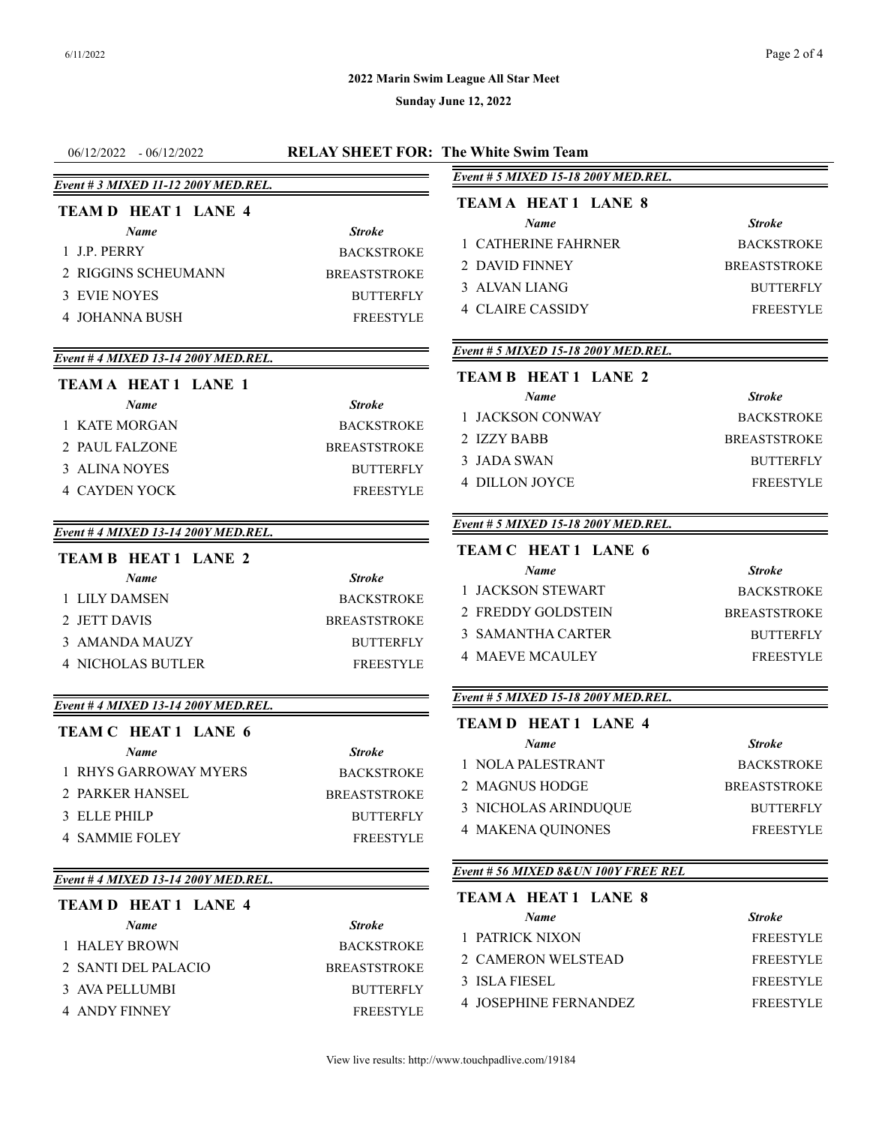## **2022 Marin Swim League All Star Meet**

| $-06/12/2022$<br>06/12/2022                                                                                                                                                                                                                                     | <b>RELAY SHEET FOR: The White Swim Team</b>                                                                                             |                                                                                                                                                                                                                                           |                                                                                                                                                                |
|-----------------------------------------------------------------------------------------------------------------------------------------------------------------------------------------------------------------------------------------------------------------|-----------------------------------------------------------------------------------------------------------------------------------------|-------------------------------------------------------------------------------------------------------------------------------------------------------------------------------------------------------------------------------------------|----------------------------------------------------------------------------------------------------------------------------------------------------------------|
|                                                                                                                                                                                                                                                                 |                                                                                                                                         | Event # 5 MIXED 15-18 200Y MED.REL.                                                                                                                                                                                                       |                                                                                                                                                                |
| Event # 3 MIXED 11-12 200Y MED.REL.<br><b>TEAM D HEAT 1 LANE 4</b><br>Name<br>1 J.P. PERRY<br>2 RIGGINS SCHEUMANN<br><b>3 EVIE NOYES</b><br><b>4 JOHANNA BUSH</b><br>Event # 4 MIXED 13-14 200Y MED.REL.<br><b>TEAMA HEAT 1 LANE 1</b><br>Name<br>1 KATE MORGAN | <b>Stroke</b><br><b>BACKSTROKE</b><br><b>BREASTSTROKE</b><br><b>BUTTERFLY</b><br><b>FREESTYLE</b><br><b>Stroke</b><br><b>BACKSTROKE</b> | <b>TEAM A HEAT 1 LANE 8</b><br>Name<br>1 CATHERINE FAHRNER<br>2 DAVID FINNEY<br>3 ALVAN LIANG<br><b>4 CLAIRE CASSIDY</b><br>Event # 5 MIXED 15-18 200Y MED.REL.<br><b>TEAM B HEAT 1 LANE 2</b><br>Name<br>1 JACKSON CONWAY<br>2 IZZY BABB | <b>Stroke</b><br><b>BACKSTROKE</b><br><b>BREASTSTROKE</b><br><b>BUTTERFLY</b><br><b>FREESTYLE</b><br><b>Stroke</b><br><b>BACKSTROKE</b><br><b>BREASTSTROKE</b> |
| 2 PAUL FALZONE<br>3 ALINA NOYES<br><b>4 CAYDEN YOCK</b>                                                                                                                                                                                                         | <b>BREASTSTROKE</b><br><b>BUTTERFLY</b><br><b>FREESTYLE</b>                                                                             | 3 JADA SWAN<br><b>4 DILLON JOYCE</b>                                                                                                                                                                                                      | <b>BUTTERFLY</b><br><b>FREESTYLE</b>                                                                                                                           |
| Event # 4 MIXED 13-14 200Y MED.REL.                                                                                                                                                                                                                             |                                                                                                                                         | Event # 5 MIXED 15-18 200Y MED.REL.                                                                                                                                                                                                       |                                                                                                                                                                |
| <b>TEAM B HEAT 1 LANE 2</b><br>Name<br>1 LILY DAMSEN<br>2 JETT DAVIS<br>3 AMANDA MAUZY<br><b>4 NICHOLAS BUTLER</b><br>Event # 4 MIXED 13-14 200Y MED.REL.<br>TEAM C HEAT 1 LANE 6<br>Name<br>1 RHYS GARROWAY MYERS                                              | <b>Stroke</b><br><b>BACKSTROKE</b><br><b>BREASTSTROKE</b><br><b>BUTTERFLY</b><br><b>FREESTYLE</b><br><b>Stroke</b><br><b>BACKSTROKE</b> | TEAM C HEAT 1 LANE 6<br>Name<br>1 JACKSON STEWART<br>2 FREDDY GOLDSTEIN<br>3 SAMANTHA CARTER<br><b>4 MAEVE MCAULEY</b><br>Event # 5 MIXED 15-18 200Y MED.REL.<br><b>TEAM D HEAT 1 LANE 4</b><br>Name<br>1 NOLA PALESTRANT                 | <b>Stroke</b><br><b>BACKSTROKE</b><br><b>BREASTSTROKE</b><br><b>BUTTERFLY</b><br><b>FREESTYLE</b><br><b>Stroke</b><br><b>BACKSTROKE</b>                        |
| 2 PARKER HANSEL<br>3 ELLE PHILP<br><b>4 SAMMIE FOLEY</b>                                                                                                                                                                                                        | <b>BREASTSTROKE</b><br><b>BUTTERFLY</b><br><b>FREESTYLE</b>                                                                             | 2 MAGNUS HODGE<br>3 NICHOLAS ARINDUQUE<br><b>4 MAKENA QUINONES</b><br>Event # 56 MIXED 8& UN 100Y FREE REL                                                                                                                                | <b>BREASTSTROKE</b><br><b>BUTTERFLY</b><br><b>FREESTYLE</b>                                                                                                    |
| Event # 4 MIXED 13-14 200Y MED.REL.                                                                                                                                                                                                                             |                                                                                                                                         | <b>TEAMA HEAT1 LANE 8</b>                                                                                                                                                                                                                 |                                                                                                                                                                |
| <b>TEAM D HEAT 1 LANE 4</b><br><b>Name</b><br>1 HALEY BROWN<br>2 SANTI DEL PALACIO<br>3 AVA PELLUMBI<br><b>4 ANDY FINNEY</b>                                                                                                                                    | <b>Stroke</b><br><b>BACKSTROKE</b><br><b>BREASTSTROKE</b><br><b>BUTTERFLY</b><br><b>FREESTYLE</b>                                       | Name<br>1 PATRICK NIXON<br>2 CAMERON WELSTEAD<br>3 ISLA FIESEL<br><b>4 JOSEPHINE FERNANDEZ</b>                                                                                                                                            | <b>Stroke</b><br><b>FREESTYLE</b><br><b>FREESTYLE</b><br><b>FREESTYLE</b><br><b>FREESTYLE</b>                                                                  |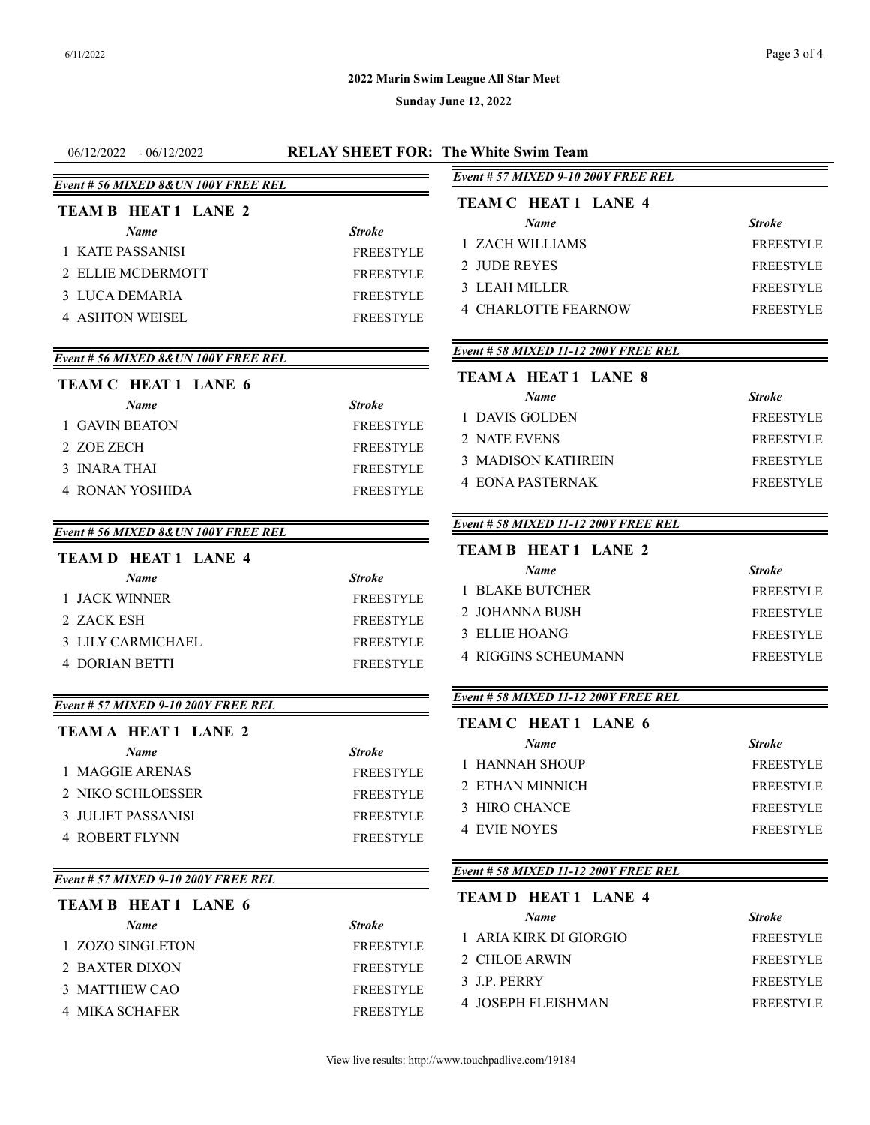## **2022 Marin Swim League All Star Meet**

| $06/12/2022 - 06/12/2022$            |                  | <b>RELAY SHEET FOR: The White Swim Team</b> |                  |
|--------------------------------------|------------------|---------------------------------------------|------------------|
| Event # 56 MIXED 8& UN 100Y FREE REL |                  | Event # 57 MIXED 9-10 200Y FREE REL         |                  |
| <b>TEAM B HEAT 1 LANE 2</b>          |                  | TEAM C HEAT 1 LANE 4                        |                  |
| <b>Name</b>                          | <b>Stroke</b>    | Name                                        | <b>Stroke</b>    |
| 1 KATE PASSANISI                     | <b>FREESTYLE</b> | 1 ZACH WILLIAMS                             | <b>FREESTYLE</b> |
| 2 ELLIE MCDERMOTT                    | <b>FREESTYLE</b> | 2 JUDE REYES                                | <b>FREESTYLE</b> |
| 3 LUCA DEMARIA                       | FREESTYLE        | 3 LEAH MILLER                               | <b>FREESTYLE</b> |
|                                      |                  | <b>4 CHARLOTTE FEARNOW</b>                  | <b>FREESTYLE</b> |
| <b>4 ASHTON WEISEL</b>               | <b>FREESTYLE</b> |                                             |                  |
| Event # 56 MIXED 8& UN 100Y FREE REL |                  | Event # 58 MIXED 11-12 200Y FREE REL        |                  |
| <b>TEAM C HEAT 1 LANE 6</b>          |                  | <b>TEAM A HEAT 1 LANE 8</b>                 |                  |
| <b>Name</b>                          | <b>Stroke</b>    | <b>Name</b>                                 | <b>Stroke</b>    |
| 1 GAVIN BEATON                       | <b>FREESTYLE</b> | 1 DAVIS GOLDEN                              | <b>FREESTYLE</b> |
| 2 ZOE ZECH                           | <b>FREESTYLE</b> | 2 NATE EVENS                                | <b>FREESTYLE</b> |
| 3 INARA THAI                         | <b>FREESTYLE</b> | <b>3 MADISON KATHREIN</b>                   | <b>FREESTYLE</b> |
| <b>4 RONAN YOSHIDA</b>               | <b>FREESTYLE</b> | <b>4 EONA PASTERNAK</b>                     | <b>FREESTYLE</b> |
| Event # 56 MIXED 8& UN 100Y FREE REL |                  | Event # 58 MIXED 11-12 200Y FREE REL        |                  |
| <b>TEAM D HEAT 1 LANE 4</b>          |                  | <b>TEAM B HEAT 1 LANE 2</b>                 |                  |
| Name                                 | <b>Stroke</b>    | <b>Name</b>                                 | <b>Stroke</b>    |
| 1 JACK WINNER                        | <b>FREESTYLE</b> | <b>1 BLAKE BUTCHER</b>                      | <b>FREESTYLE</b> |
| 2 ZACK ESH                           | <b>FREESTYLE</b> | 2 JOHANNA BUSH                              | <b>FREESTYLE</b> |
| <b>3 LILY CARMICHAEL</b>             | <b>FREESTYLE</b> | 3 ELLIE HOANG                               | <b>FREESTYLE</b> |
| <b>4 DORIAN BETTI</b>                | <b>FREESTYLE</b> | <b>4 RIGGINS SCHEUMANN</b>                  | <b>FREESTYLE</b> |
| Event # 57 MIXED 9-10 200Y FREE REL  |                  | Event # 58 MIXED 11-12 200Y FREE REL        |                  |
| <b>TEAMA HEAT 1 LANE 2</b>           |                  | TEAM C HEAT 1 LANE 6                        |                  |
| <b>Name</b>                          | <b>Stroke</b>    | <b>Name</b>                                 | <b>Stroke</b>    |
| 1 MAGGIE ARENAS                      | <b>FREESTYLE</b> | 1 HANNAH SHOUP                              | <b>FREESTYLE</b> |
| 2 NIKO SCHLOESSER                    | <b>FREESTYLE</b> | 2 ETHAN MINNICH                             | <b>FREESTYLE</b> |
| 3 JULIET PASSANISI                   | <b>FREESTYLE</b> | 3 HIRO CHANCE                               | <b>FREESTYLE</b> |
| <b>4 ROBERT FLYNN</b>                | <b>FREESTYLE</b> | <b>4 EVIE NOYES</b>                         | <b>FREESTYLE</b> |
|                                      |                  |                                             |                  |
| Event # 57 MIXED 9-10 200Y FREE REL  |                  | Event # 58 MIXED 11-12 200Y FREE REL        |                  |
| <b>TEAM B HEAT 1 LANE 6</b>          |                  | <b>TEAM D HEAT 1 LANE 4</b>                 |                  |
| Name                                 | Stroke           | Name                                        | <b>Stroke</b>    |
| 1 ZOZO SINGLETON                     | <b>FREESTYLE</b> | 1 ARIA KIRK DI GIORGIO                      | FREESTYLE        |
| 2 BAXTER DIXON                       | <b>FREESTYLE</b> | 2 CHLOE ARWIN                               | <b>FREESTYLE</b> |
| 3 MATTHEW CAO                        | <b>FREESTYLE</b> | 3 J.P. PERRY                                | <b>FREESTYLE</b> |
| <b>4 MIKA SCHAFER</b>                | <b>FREESTYLE</b> | <b>4 JOSEPH FLEISHMAN</b>                   | <b>FREESTYLE</b> |
|                                      |                  |                                             |                  |